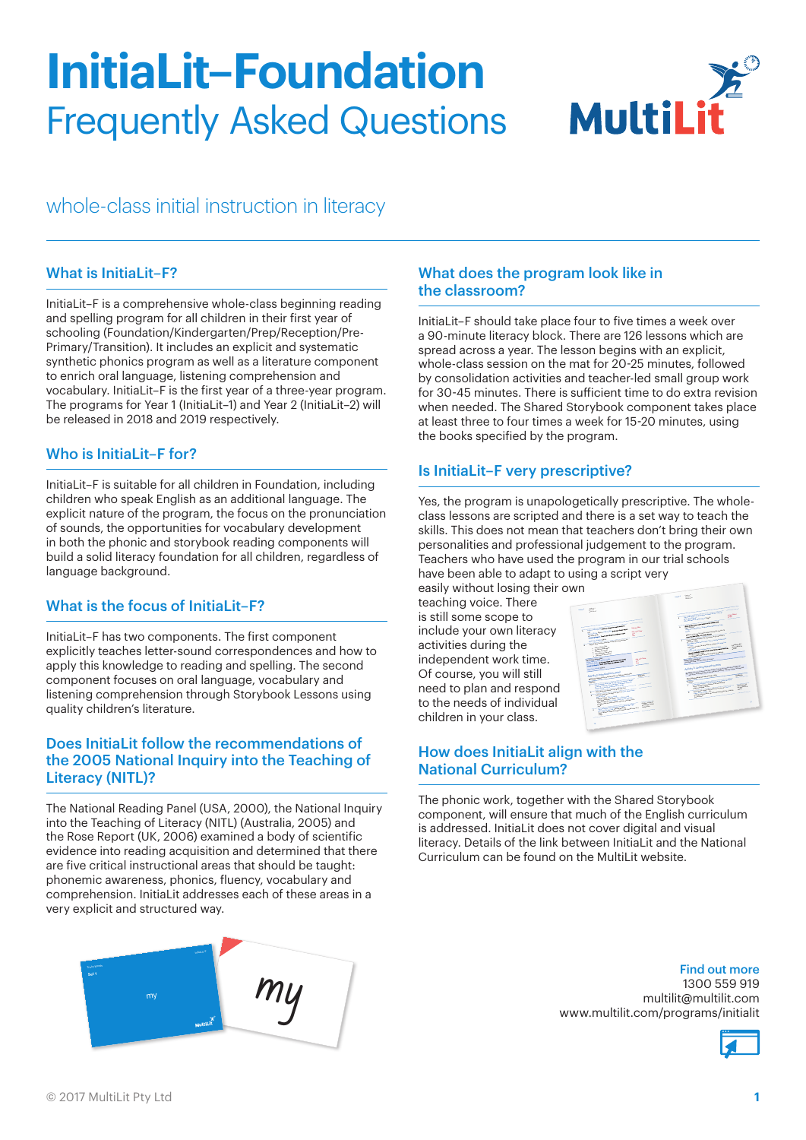# **InitiaLit–Foundation** Frequently Asked Questions



# whole-class initial instruction in literacy

#### What is InitiaLit–F?

InitiaLit–F is a comprehensive whole-class beginning reading and spelling program for all children in their first year of schooling (Foundation/Kindergarten/Prep/Reception/Pre-Primary/Transition). It includes an explicit and systematic synthetic phonics program as well as a literature component to enrich oral language, listening comprehension and vocabulary. InitiaLit–F is the first year of a three-year program. The programs for Year 1 (InitiaLit–1) and Year 2 (InitiaLit–2) will be released in 2018 and 2019 respectively.

# Who is InitiaLit–F for?

InitiaLit–F is suitable for all children in Foundation, including children who speak English as an additional language. The explicit nature of the program, the focus on the pronunciation of sounds, the opportunities for vocabulary development in both the phonic and storybook reading components will build a solid literacy foundation for all children, regardless of language background.

#### What is the focus of InitiaLit–F?

InitiaLit–F has two components. The first component explicitly teaches letter-sound correspondences and how to apply this knowledge to reading and spelling. The second component focuses on oral language, vocabulary and listening comprehension through Storybook Lessons using quality children's literature.

#### Does InitiaLit follow the recommendations of the 2005 National Inquiry into the Teaching of Literacy (NITL)?

The National Reading Panel (USA, 2000), the National Inquiry into the Teaching of Literacy (NITL) (Australia, 2005) and the Rose Report (UK, 2006) examined a body of scientific evidence into reading acquisition and determined that there are five critical instructional areas that should be taught: phonemic awareness, phonics, fluency, vocabulary and comprehension. InitiaLit addresses each of these areas in a very explicit and structured way.



#### What does the program look like in the classroom?

InitiaLit–F should take place four to five times a week over a 90-minute literacy block. There are 126 lessons which are spread across a year. The lesson begins with an explicit, whole-class session on the mat for 20-25 minutes, followed by consolidation activities and teacher-led small group work for 30-45 minutes. There is sufficient time to do extra revision when needed. The Shared Storybook component takes place at least three to four times a week for 15-20 minutes, using the books specified by the program.

#### Is InitiaLit–F very prescriptive?

Yes, the program is unapologetically prescriptive. The wholeclass lessons are scripted and there is a set way to teach the skills. This does not mean that teachers don't bring their own personalities and professional judgement to the program. Teachers who have used the program in our trial schools have been able to adapt to using a script very

easily without losing their own teaching voice. There is still some scope to include your own literacy activities during the independent work time. Of course, you will still need to plan and respond to the needs of individual children in your class.



### How does InitiaLit align with the National Curriculum?

The phonic work, together with the Shared Storybook component, will ensure that much of the English curriculum is addressed. InitiaLit does not cover digital and visual literacy. Details of the link between InitiaLit and the National Curriculum can be found on the MultiLit website.

#### Find out more

1300 559 919 multilit@multilit.com www.multilit.com/programs/initialit

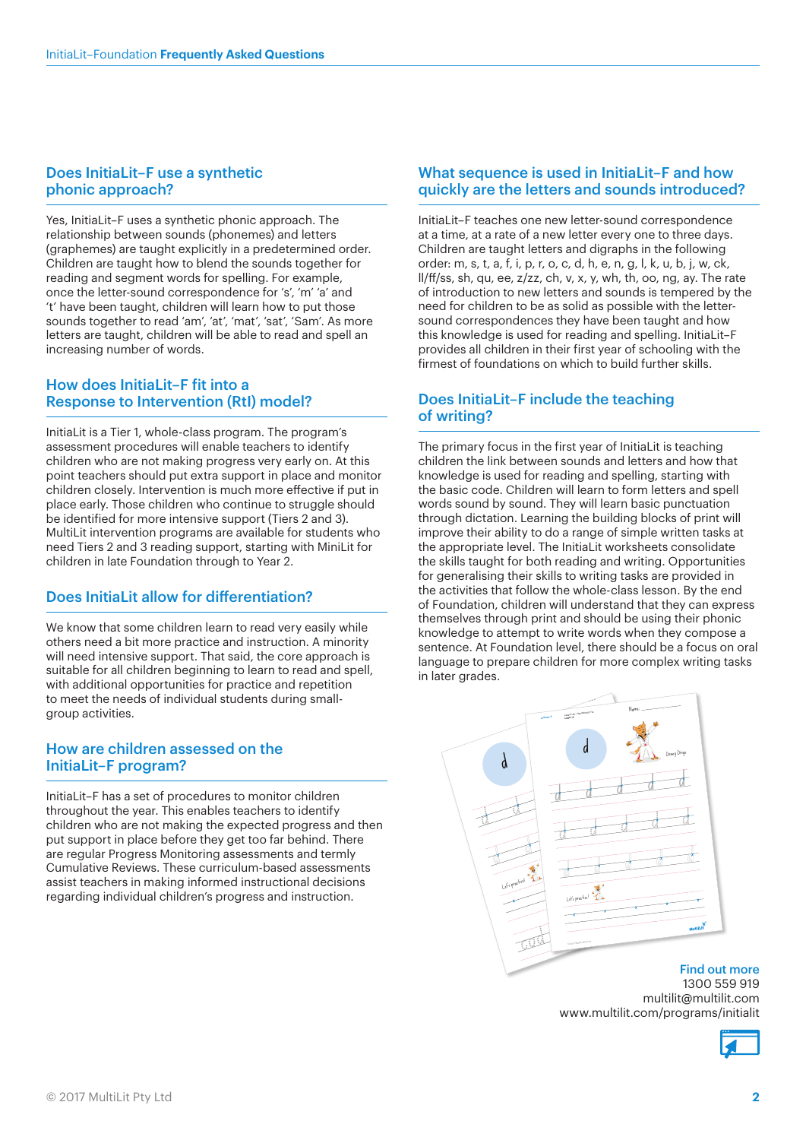#### Does InitiaLit–F use a synthetic phonic approach?

Yes, InitiaLit–F uses a synthetic phonic approach. The relationship between sounds (phonemes) and letters (graphemes) are taught explicitly in a predetermined order. Children are taught how to blend the sounds together for reading and segment words for spelling. For example, once the letter-sound correspondence for 's', 'm' 'a' and 't' have been taught, children will learn how to put those sounds together to read 'am', 'at', 'mat', 'sat', 'Sam'. As more letters are taught, children will be able to read and spell an increasing number of words.

#### How does InitiaLit–F fit into a Response to Intervention (RtI) model?

InitiaLit is a Tier 1, whole-class program. The program's assessment procedures will enable teachers to identify children who are not making progress very early on. At this point teachers should put extra support in place and monitor children closely. Intervention is much more effective if put in place early. Those children who continue to struggle should be identified for more intensive support (Tiers 2 and 3). MultiLit intervention programs are available for students who need Tiers 2 and 3 reading support, starting with MiniLit for children in late Foundation through to Year 2.

# Does InitiaLit allow for differentiation?

We know that some children learn to read very easily while others need a bit more practice and instruction. A minority will need intensive support. That said, the core approach is suitable for all children beginning to learn to read and spell, with additional opportunities for practice and repetition to meet the needs of individual students during smallgroup activities.

#### How are children assessed on the InitiaLit–F program?

InitiaLit–F has a set of procedures to monitor children throughout the year. This enables teachers to identify children who are not making the expected progress and then put support in place before they get too far behind. There are regular Progress Monitoring assessments and termly Cumulative Reviews. These curriculum-based assessments assist teachers in making informed instructional decisions regarding individual children's progress and instruction.

#### What sequence is used in InitiaLit–F and how quickly are the letters and sounds introduced?

InitiaLit–F teaches one new letter-sound correspondence at a time, at a rate of a new letter every one to three days. Children are taught letters and digraphs in the following order: m, s, t, a, f, i, p, r, o, c, d, h, e, n, g, l, k, u, b, j, w, ck, ll/ff/ss, sh, qu, ee, z/zz, ch, v, x, y, wh, th, oo, ng, ay. The rate of introduction to new letters and sounds is tempered by the need for children to be as solid as possible with the lettersound correspondences they have been taught and how this knowledge is used for reading and spelling. InitiaLit–F provides all children in their first year of schooling with the firmest of foundations on which to build further skills.

#### Does InitiaLit–F include the teaching of writing?

The primary focus in the first year of InitiaLit is teaching children the link between sounds and letters and how that knowledge is used for reading and spelling, starting with the basic code. Children will learn to form letters and spell words sound by sound. They will learn basic punctuation through dictation. Learning the building blocks of print will improve their ability to do a range of simple written tasks at the appropriate level. The InitiaLit worksheets consolidate the skills taught for both reading and writing. Opportunities for generalising their skills to writing tasks are provided in the activities that follow the whole-class lesson. By the end of Foundation, children will understand that they can express themselves through print and should be using their phonic knowledge to attempt to write words when they compose a sentence. At Foundation level, there should be a focus on oral language to prepare children for more complex writing tasks in later grades.



1300 559 919 multilit@multilit.com www.multilit.com/programs/initialit